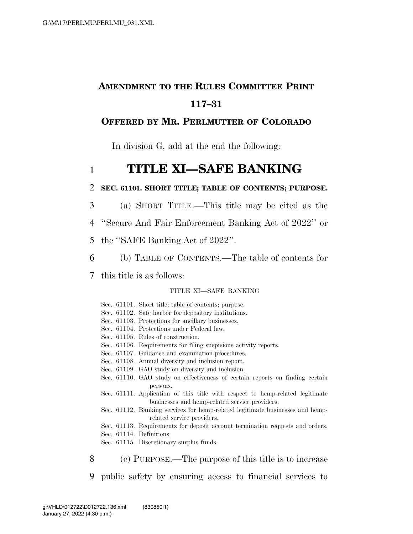# **AMENDMENT TO THE RULES COMMITTEE PRINT 117–31**

## **OFFERED BY MR. PERLMUTTER OF COLORADO**

In division G, add at the end the following:

# 1 **TITLE XI—SAFE BANKING**

#### 2 **SEC. 61101. SHORT TITLE; TABLE OF CONTENTS; PURPOSE.**

- 3 (a) SHORT TITLE.—This title may be cited as the
- 4 ''Secure And Fair Enforcement Banking Act of 2022'' or
- 5 the ''SAFE Banking Act of 2022''.
- 6 (b) TABLE OF CONTENTS.—The table of contents for
- 7 this title is as follows:

#### TITLE XI—SAFE BANKING

|   | Sec. 61101. Short title; table of contents; purpose.                          |
|---|-------------------------------------------------------------------------------|
|   | Sec. 61102. Safe harbor for depository institutions.                          |
|   | Sec. 61103. Protections for ancillary businesses.                             |
|   | Sec. 61104. Protections under Federal law.                                    |
|   | Sec. 61105. Rules of construction.                                            |
|   | Sec. 61106. Requirements for filing suspicious activity reports.              |
|   | Sec. 61107. Guidance and examination procedures.                              |
|   | Sec. 61108. Annual diversity and inclusion report.                            |
|   | Sec. 61109. GAO study on diversity and inclusion.                             |
|   | Sec. 61110. GAO study on effectiveness of certain reports on finding certain  |
|   | persons.                                                                      |
|   | Sec. 61111. Application of this title with respect to hemp-related legitimate |
|   | businesses and hemp-related service providers.                                |
|   | Sec. 61112. Banking services for hemp-related legitimate businesses and hemp- |
|   | related service providers.                                                    |
|   | Sec. 61113. Requirements for deposit account termination requests and orders. |
|   | Sec. 61114. Definitions.                                                      |
|   | Sec. 61115. Discretionary surplus funds.                                      |
|   |                                                                               |
| 8 | (c) PURPOSE.—The purpose of this title is to increase                         |
|   |                                                                               |
| 9 | public safety by ensuring access to financial services to                     |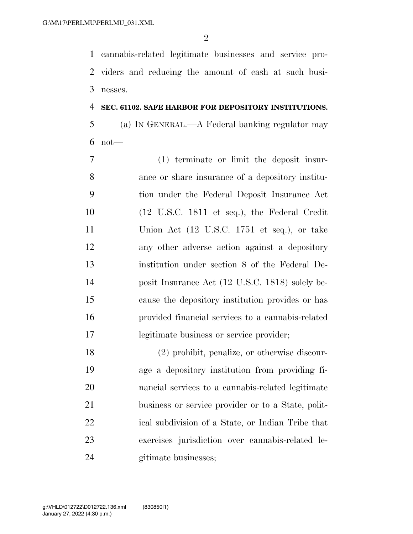cannabis-related legitimate businesses and service pro- viders and reducing the amount of cash at such busi-nesses.

## **SEC. 61102. SAFE HARBOR FOR DEPOSITORY INSTITUTIONS.**

 (a) IN GENERAL.—A Federal banking regulator may not—

 (1) terminate or limit the deposit insur- ance or share insurance of a depository institu- tion under the Federal Deposit Insurance Act (12 U.S.C. 1811 et seq.), the Federal Credit Union Act (12 U.S.C. 1751 et seq.), or take any other adverse action against a depository institution under section 8 of the Federal De- posit Insurance Act (12 U.S.C. 1818) solely be- cause the depository institution provides or has provided financial services to a cannabis-related legitimate business or service provider;

 (2) prohibit, penalize, or otherwise discour- age a depository institution from providing fi- nancial services to a cannabis-related legitimate business or service provider or to a State, polit- ical subdivision of a State, or Indian Tribe that exercises jurisdiction over cannabis-related le-gitimate businesses;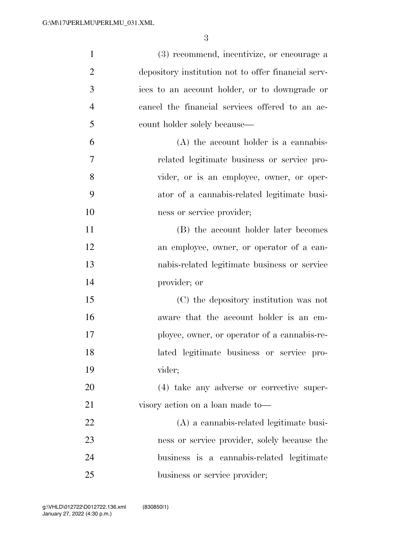| $\mathbf{1}$   | (3) recommend, incentivize, or encourage a          |
|----------------|-----------------------------------------------------|
| $\overline{2}$ | depository institution not to offer financial serv- |
| 3              | ices to an account holder, or to downgrade or       |
| $\overline{4}$ | cancel the financial services offered to an ac-     |
| 5              | count holder solely because—                        |
| 6              | $(A)$ the account holder is a cannabis-             |
| 7              | related legitimate business or service pro-         |
| 8              | vider, or is an employee, owner, or oper-           |
| 9              | ator of a cannabis-related legitimate busi-         |
| 10             | ness or service provider;                           |
| 11             | (B) the account holder later becomes                |
| 12             | an employee, owner, or operator of a can-           |
| 13             | nabis-related legitimate business or service        |
| 14             | provider; or                                        |
| 15             | (C) the depository institution was not              |
| 16             | aware that the account holder is an em-             |
| 17             | ployee, owner, or operator of a cannabis-re-        |
| 18             | lated legitimate business or service pro-           |
| 19             | vider;                                              |
| 20             | (4) take any adverse or corrective super-           |
| 21             | visory action on a loan made to-                    |
| 22             | (A) a cannabis-related legitimate busi-             |
| 23             | ness or service provider, solely because the        |
| 24             | business is a cannabis-related legitimate           |
| 25             | business or service provider;                       |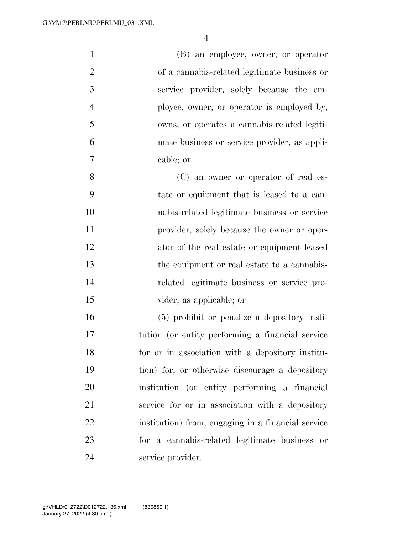| $\mathbf{1}$   | (B) an employee, owner, or operator                |
|----------------|----------------------------------------------------|
| $\overline{2}$ | of a cannabis-related legitimate business or       |
| 3              | service provider, solely because the em-           |
| $\overline{4}$ | ployee, owner, or operator is employed by,         |
| 5              | owns, or operates a cannabis-related legiti-       |
| 6              | mate business or service provider, as appli-       |
| 7              | cable; or                                          |
| 8              | (C) an owner or operator of real es-               |
| 9              | tate or equipment that is leased to a can-         |
| 10             | nabis-related legitimate business or service       |
| 11             | provider, solely because the owner or oper-        |
| 12             | ator of the real estate or equipment leased        |
| 13             | the equipment or real estate to a cannabis-        |
| 14             | related legitimate business or service pro-        |
| 15             | vider, as applicable; or                           |
| 16             | (5) prohibit or penalize a depository insti-       |
| 17             | tution (or entity performing a financial service)  |
| 18             | for or in association with a depository institu-   |
| 19             | tion) for, or otherwise discourage a depository    |
| 20             | institution (or entity performing a financial      |
| 21             | service for or in association with a depository    |
| 22             | institution) from, engaging in a financial service |
| 23             | for a cannabis-related legitimate business or      |
| 24             | service provider.                                  |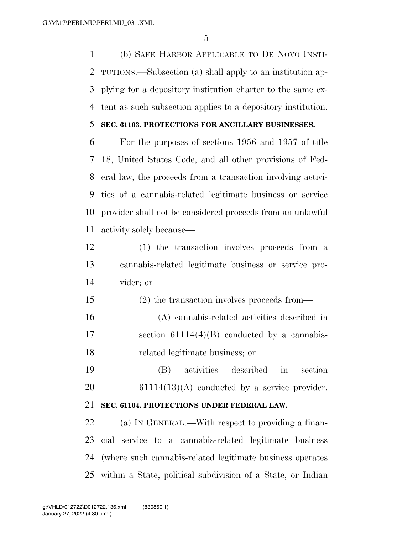(b) SAFE HARBOR APPLICABLE TO DE NOVO INSTI- TUTIONS.—Subsection (a) shall apply to an institution ap- plying for a depository institution charter to the same ex-tent as such subsection applies to a depository institution.

#### **SEC. 61103. PROTECTIONS FOR ANCILLARY BUSINESSES.**

 For the purposes of sections 1956 and 1957 of title 18, United States Code, and all other provisions of Fed- eral law, the proceeds from a transaction involving activi- ties of a cannabis-related legitimate business or service provider shall not be considered proceeds from an unlawful activity solely because—

- (1) the transaction involves proceeds from a cannabis-related legitimate business or service pro-vider; or
- (2) the transaction involves proceeds from— (A) cannabis-related activities described in section 61114(4)(B) conducted by a cannabis-related legitimate business; or
- (B) activities described in section 61114(13)(A) conducted by a service provider.

#### **SEC. 61104. PROTECTIONS UNDER FEDERAL LAW.**

 (a) IN GENERAL.—With respect to providing a finan- cial service to a cannabis-related legitimate business (where such cannabis-related legitimate business operates within a State, political subdivision of a State, or Indian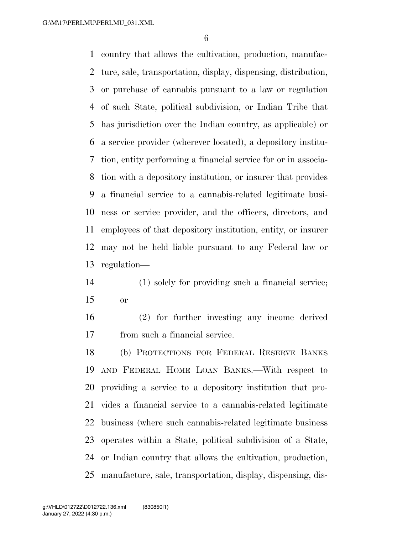country that allows the cultivation, production, manufac- ture, sale, transportation, display, dispensing, distribution, or purchase of cannabis pursuant to a law or regulation of such State, political subdivision, or Indian Tribe that has jurisdiction over the Indian country, as applicable) or a service provider (wherever located), a depository institu- tion, entity performing a financial service for or in associa- tion with a depository institution, or insurer that provides a financial service to a cannabis-related legitimate busi- ness or service provider, and the officers, directors, and employees of that depository institution, entity, or insurer may not be held liable pursuant to any Federal law or regulation—

 (1) solely for providing such a financial service; or

 (2) for further investing any income derived from such a financial service.

 (b) PROTECTIONS FOR FEDERAL RESERVE BANKS AND FEDERAL HOME LOAN BANKS.—With respect to providing a service to a depository institution that pro- vides a financial service to a cannabis-related legitimate business (where such cannabis-related legitimate business operates within a State, political subdivision of a State, or Indian country that allows the cultivation, production, manufacture, sale, transportation, display, dispensing, dis-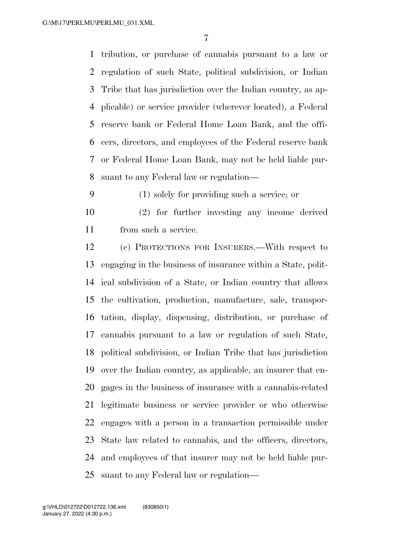tribution, or purchase of cannabis pursuant to a law or regulation of such State, political subdivision, or Indian Tribe that has jurisdiction over the Indian country, as ap- plicable) or service provider (wherever located), a Federal reserve bank or Federal Home Loan Bank, and the offi- cers, directors, and employees of the Federal reserve bank or Federal Home Loan Bank, may not be held liable pur-suant to any Federal law or regulation—

(1) solely for providing such a service; or

 (2) for further investing any income derived from such a service.

 (c) PROTECTIONS FOR INSURERS.—With respect to engaging in the business of insurance within a State, polit- ical subdivision of a State, or Indian country that allows the cultivation, production, manufacture, sale, transpor- tation, display, dispensing, distribution, or purchase of cannabis pursuant to a law or regulation of such State, political subdivision, or Indian Tribe that has jurisdiction over the Indian country, as applicable, an insurer that en- gages in the business of insurance with a cannabis-related legitimate business or service provider or who otherwise engages with a person in a transaction permissible under State law related to cannabis, and the officers, directors, and employees of that insurer may not be held liable pur-suant to any Federal law or regulation—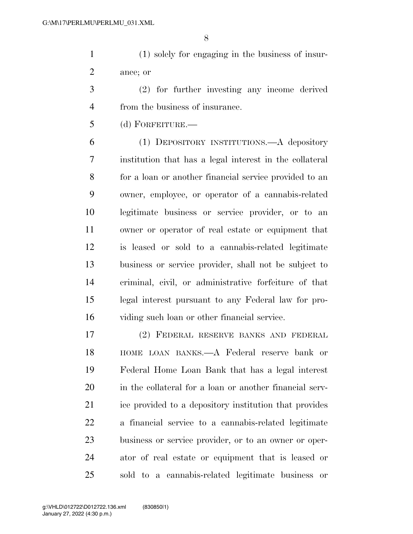(1) solely for engaging in the business of insur-ance; or

 (2) for further investing any income derived from the business of insurance.

(d) FORFEITURE.—

 (1) DEPOSITORY INSTITUTIONS.—A depository institution that has a legal interest in the collateral for a loan or another financial service provided to an owner, employee, or operator of a cannabis-related legitimate business or service provider, or to an owner or operator of real estate or equipment that is leased or sold to a cannabis-related legitimate business or service provider, shall not be subject to criminal, civil, or administrative forfeiture of that legal interest pursuant to any Federal law for pro-viding such loan or other financial service.

 (2) FEDERAL RESERVE BANKS AND FEDERAL HOME LOAN BANKS.—A Federal reserve bank or Federal Home Loan Bank that has a legal interest in the collateral for a loan or another financial serv- ice provided to a depository institution that provides a financial service to a cannabis-related legitimate business or service provider, or to an owner or oper- ator of real estate or equipment that is leased or sold to a cannabis-related legitimate business or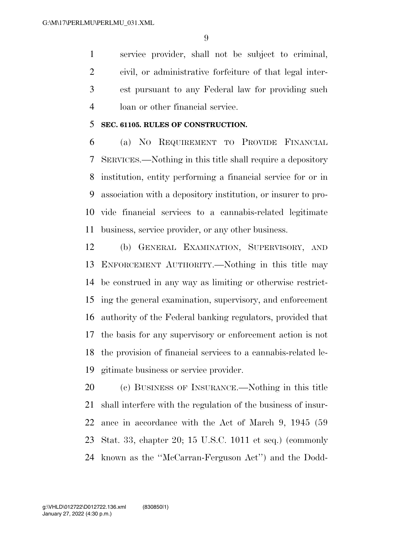service provider, shall not be subject to criminal, civil, or administrative forfeiture of that legal inter- est pursuant to any Federal law for providing such loan or other financial service.

#### **SEC. 61105. RULES OF CONSTRUCTION.**

 (a) NO REQUIREMENT TO PROVIDE FINANCIAL SERVICES.—Nothing in this title shall require a depository institution, entity performing a financial service for or in association with a depository institution, or insurer to pro- vide financial services to a cannabis-related legitimate business, service provider, or any other business.

 (b) GENERAL EXAMINATION, SUPERVISORY, AND ENFORCEMENT AUTHORITY.—Nothing in this title may be construed in any way as limiting or otherwise restrict- ing the general examination, supervisory, and enforcement authority of the Federal banking regulators, provided that the basis for any supervisory or enforcement action is not the provision of financial services to a cannabis-related le-gitimate business or service provider.

 (c) BUSINESS OF INSURANCE.—Nothing in this title shall interfere with the regulation of the business of insur- ance in accordance with the Act of March 9, 1945 (59 Stat. 33, chapter 20; 15 U.S.C. 1011 et seq.) (commonly known as the ''McCarran-Ferguson Act'') and the Dodd-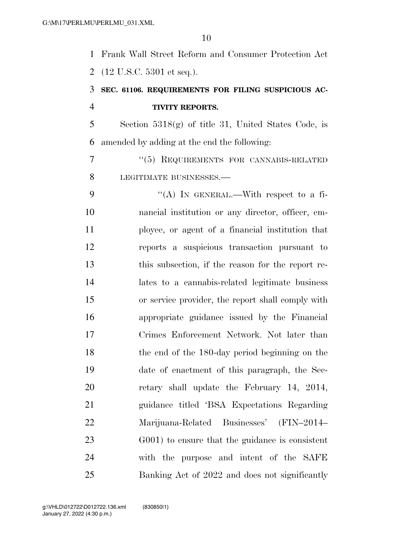| 1              | Frank Wall Street Reform and Consumer Protection Act  |
|----------------|-------------------------------------------------------|
| $\overline{2}$ | $(12 \text{ U.S.C. } 5301 \text{ et seq.}).$          |
| 3              | SEC. 61106. REQUIREMENTS FOR FILING SUSPICIOUS AC-    |
| $\overline{4}$ | <b>TIVITY REPORTS.</b>                                |
| 5              | Section $5318(g)$ of title 31, United States Code, is |
| 6              | amended by adding at the end the following:           |
| 7              | "(5) REQUIREMENTS FOR CANNABIS-RELATED                |
| 8              | LEGITIMATE BUSINESSES.-                               |
| 9              | "(A) IN GENERAL.—With respect to a fi-                |
| 10             | nancial institution or any director, officer, em-     |
| 11             | ployee, or agent of a financial institution that      |
| 12             | reports a suspicious transaction pursuant to          |
| 13             | this subsection, if the reason for the report re-     |
| 14             | lates to a cannabis-related legitimate business       |
| 15             | or service provider, the report shall comply with     |
| 16             | appropriate guidance issued by the Financial          |
| 17             | Crimes Enforcement Network. Not later than            |
| 18             | the end of the 180-day period beginning on the        |
| 19             | date of enactment of this paragraph, the Sec-         |
| 20             | retary shall update the February 14, 2014,            |
| 21             | guidance titled 'BSA Expectations Regarding           |
| 22             | Marijuana-Related Businesses' (FIN-2014-              |
| 23             | G001) to ensure that the guidance is consistent       |
| 24             | with the purpose and intent of the SAFE               |
| 25             | Banking Act of 2022 and does not significantly        |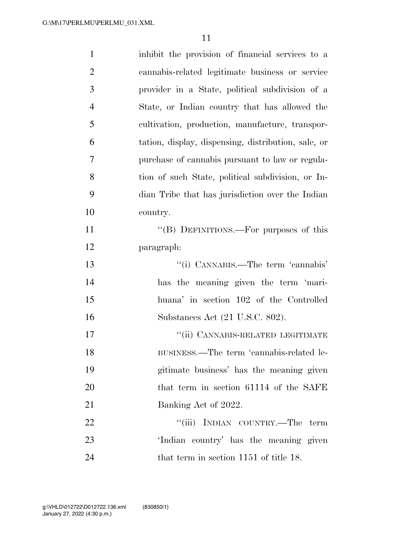| $\mathbf{1}$   | inhibit the provision of financial services to a    |
|----------------|-----------------------------------------------------|
| $\overline{2}$ | cannabis-related legitimate business or service     |
| 3              | provider in a State, political subdivision of a     |
| $\overline{4}$ | State, or Indian country that has allowed the       |
| 5              | cultivation, production, manufacture, transpor-     |
| 6              | tation, display, dispensing, distribution, sale, or |
| 7              | purchase of cannabis pursuant to law or regula-     |
| 8              | tion of such State, political subdivision, or In-   |
| 9              | dian Tribe that has jurisdiction over the Indian    |
| 10             | country.                                            |
| 11             | "(B) DEFINITIONS.—For purposes of this              |
| 12             | paragraph:                                          |
| 13             | "(i) CANNABIS.—The term 'cannabis'                  |
| 14             | has the meaning given the term 'mari-               |
| 15             | huana' in section 102 of the Controlled             |
| 16             | Substances Act (21 U.S.C. 802).                     |
| 17             | "(ii) CANNABIS-RELATED LEGITIMATE                   |
| 18             | BUSINESS.—The term 'cannabis-related le-            |
| 19             | gitimate business' has the meaning given            |
| 20             | that term in section 61114 of the SAFE              |
| 21             | Banking Act of 2022.                                |
| 22             | "(iii) INDIAN COUNTRY.—The term                     |
| 23             | 'Indian country' has the meaning given              |
| 24             | that term in section 1151 of title 18.              |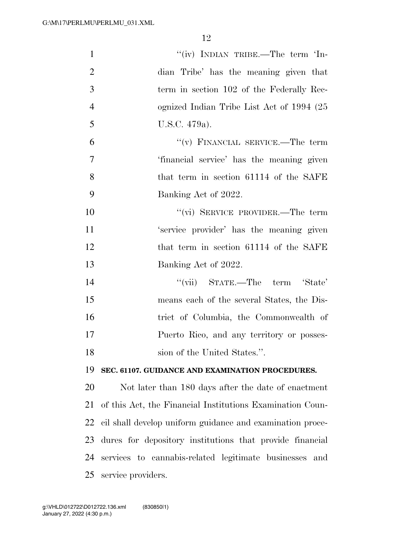| $\mathbf{1}$   | "(iv) INDIAN TRIBE.—The term 'In-                         |
|----------------|-----------------------------------------------------------|
| $\overline{2}$ | dian Tribe' has the meaning given that                    |
| 3              | term in section 102 of the Federally Rec-                 |
| $\overline{4}$ | ognized Indian Tribe List Act of 1994 (25                 |
| 5              | U.S.C. 479a).                                             |
| 6              | "(v) FINANCIAL SERVICE.—The term                          |
| 7              | 'financial service' has the meaning given                 |
| 8              | that term in section 61114 of the SAFE                    |
| 9              | Banking Act of 2022.                                      |
| 10             | "(vi) SERVICE PROVIDER.—The term                          |
| 11             | 'service provider' has the meaning given                  |
| 12             | that term in section 61114 of the SAFE                    |
| 13             | Banking Act of 2022.                                      |
| 14             | "(vii) STATE.—The term 'State'                            |
| 15             | means each of the several States, the Dis-                |
| 16             | trict of Columbia, the Commonwealth of                    |
| 17             | Puerto Rico, and any territory or posses-                 |
| 18             | sion of the United States.".                              |
| 19             | SEC. 61107. GUIDANCE AND EXAMINATION PROCEDURES.          |
| 20             | Not later than 180 days after the date of enactment       |
| 21             | of this Act, the Financial Institutions Examination Coun- |
| 22             | cil shall develop uniform guidance and examination proce- |
| 23             | dures for depository institutions that provide financial  |
| 24             | services to cannabis-related legitimate businesses<br>and |
| 25             | service providers.                                        |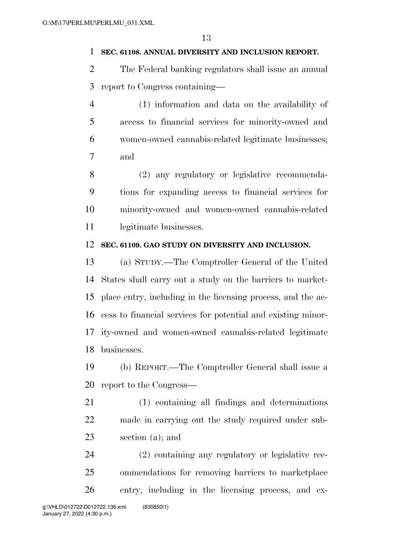#### **SEC. 61108. ANNUAL DIVERSITY AND INCLUSION REPORT.**

- The Federal banking regulators shall issue an annual report to Congress containing—
- (1) information and data on the availability of access to financial services for minority-owned and women-owned cannabis-related legitimate businesses; and

 (2) any regulatory or legislative recommenda- tions for expanding access to financial services for minority-owned and women-owned cannabis-related 11 legitimate businesses.

#### **SEC. 61109. GAO STUDY ON DIVERSITY AND INCLUSION.**

 (a) STUDY.—The Comptroller General of the United States shall carry out a study on the barriers to market- place entry, including in the licensing process, and the ac- cess to financial services for potential and existing minor- ity-owned and women-owned cannabis-related legitimate businesses.

 (b) REPORT.—The Comptroller General shall issue a report to the Congress—

 (1) containing all findings and determinations made in carrying out the study required under sub-section (a); and

 (2) containing any regulatory or legislative rec- ommendations for removing barriers to marketplace entry, including in the licensing process, and ex-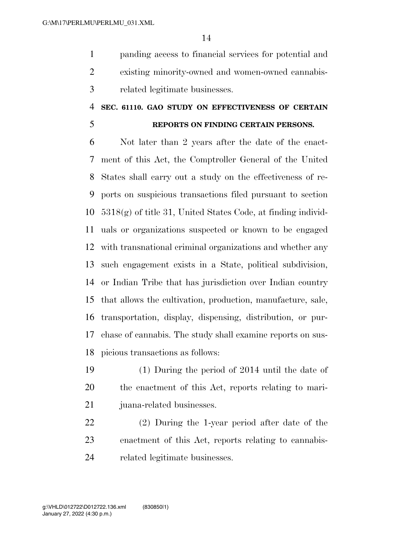panding access to financial services for potential and existing minority-owned and women-owned cannabis-related legitimate businesses.

#### **SEC. 61110. GAO STUDY ON EFFECTIVENESS OF CERTAIN**

## **REPORTS ON FINDING CERTAIN PERSONS.**

 Not later than 2 years after the date of the enact- ment of this Act, the Comptroller General of the United States shall carry out a study on the effectiveness of re- ports on suspicious transactions filed pursuant to section 5318(g) of title 31, United States Code, at finding individ- uals or organizations suspected or known to be engaged with transnational criminal organizations and whether any such engagement exists in a State, political subdivision, or Indian Tribe that has jurisdiction over Indian country that allows the cultivation, production, manufacture, sale, transportation, display, dispensing, distribution, or pur- chase of cannabis. The study shall examine reports on sus-picious transactions as follows:

 (1) During the period of 2014 until the date of the enactment of this Act, reports relating to mari-juana-related businesses.

 (2) During the 1-year period after date of the enactment of this Act, reports relating to cannabis-related legitimate businesses.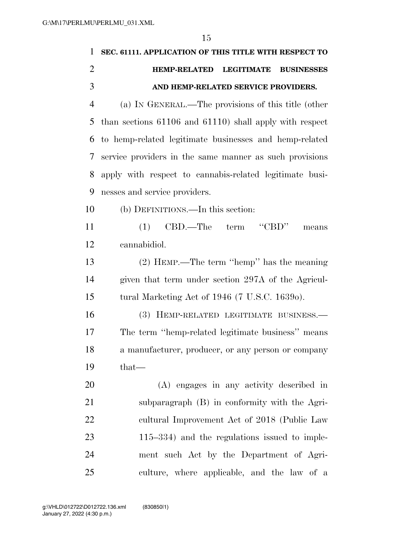| $\mathbf{1}$   | SEC. 61111. APPLICATION OF THIS TITLE WITH RESPECT TO        |
|----------------|--------------------------------------------------------------|
| $\overline{2}$ | <b>HEMP-RELATED LEGITIMATE</b><br><b>BUSINESSES</b>          |
| 3              | AND HEMP-RELATED SERVICE PROVIDERS.                          |
| $\overline{4}$ | (a) IN GENERAL.—The provisions of this title (other          |
| 5              | than sections $61106$ and $61110$ ) shall apply with respect |
| 6              | to hemp-related legitimate businesses and hemp-related       |
| 7              | service providers in the same manner as such provisions      |
| 8              | apply with respect to cannabis-related legitimate busi-      |
| 9              | nesses and service providers.                                |
| 10             | (b) DEFINITIONS.—In this section:                            |
| 11             | $CBD$ .—The term<br>(1)<br>means                             |
| 12             | cannabidiol.                                                 |
| 13             | (2) HEMP.—The term "hemp" has the meaning                    |
| 14             | given that term under section 297A of the Agricul-           |
| 15             | tural Marketing Act of 1946 (7 U.S.C. 1639o).                |
| 16             | (3) HEMP-RELATED LEGITIMATE BUSINESS.-                       |
| 17             | The term "hemp-related legitimate business" means            |
| 18             | a manufacturer, producer, or any person or company           |
| 19             | $that-$                                                      |
| 20             | (A) engages in any activity described in                     |
| 21             | subparagraph (B) in conformity with the Agri-                |
| 22             | cultural Improvement Act of 2018 (Public Law                 |
| 23             | $115-334$ ) and the regulations issued to imple-             |
| 24             | ment such Act by the Department of Agri-                     |
| 25             | culture, where applicable, and the law of a                  |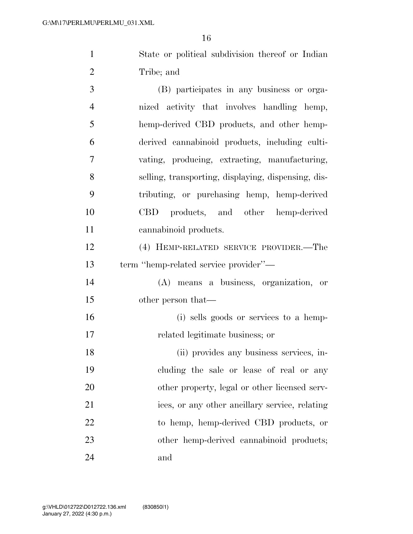State or political subdivision thereof or Indian Tribe; and

 (B) participates in any business or orga- nized activity that involves handling hemp, hemp-derived CBD products, and other hemp- derived cannabinoid products, including culti- vating, producing, extracting, manufacturing, selling, transporting, displaying, dispensing, dis- tributing, or purchasing hemp, hemp-derived CBD products, and other hemp-derived cannabinoid products.

 (4) HEMP-RELATED SERVICE PROVIDER.—The term ''hemp-related service provider''—

 (A) means a business, organization, or other person that—

 (i) sells goods or services to a hemp-related legitimate business; or

 (ii) provides any business services, in- cluding the sale or lease of real or any 20 other property, legal or other licensed serv- ices, or any other ancillary service, relating to hemp, hemp-derived CBD products, or 23 other hemp-derived cannabinoid products; and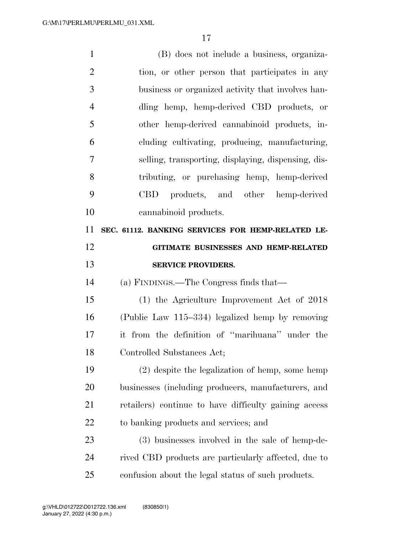| $\mathbf{1}$   | (B) does not include a business, organiza-            |
|----------------|-------------------------------------------------------|
| $\overline{2}$ | tion, or other person that participates in any        |
| 3              | business or organized activity that involves han-     |
| $\overline{4}$ | dling hemp, hemp-derived CBD products, or             |
| 5              | other hemp-derived cannabinoid products, in-          |
| 6              | cluding cultivating, producing, manufacturing,        |
| 7              | selling, transporting, displaying, dispensing, dis-   |
| 8              | tributing, or purchasing hemp, hemp-derived           |
| 9              | CBD products, and other hemp-derived                  |
| 10             | cannabinoid products.                                 |
| 11             | SEC. 61112. BANKING SERVICES FOR HEMP-RELATED LE-     |
| 12             | GITIMATE BUSINESSES AND HEMP-RELATED                  |
| 13             | <b>SERVICE PROVIDERS.</b>                             |
| 14             | (a) FINDINGS.—The Congress finds that—                |
| 15             | $(1)$ the Agriculture Improvement Act of 2018         |
| 16             | (Public Law 115-334) legalized hemp by removing       |
| 17             | it from the definition of "marihuana" under the       |
| 18             | Controlled Substances Act;                            |
| 19             | (2) despite the legalization of hemp, some hemp       |
| 20             | businesses (including producers, manufacturers, and   |
| 21             | retailers) continue to have difficulty gaining access |
| 22             | to banking products and services; and                 |
| 23             | (3) businesses involved in the sale of hemp-de-       |
| 24             | rived CBD products are particularly affected, due to  |
|                |                                                       |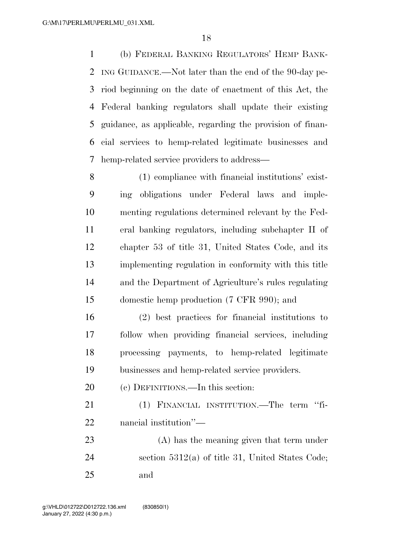(b) FEDERAL BANKING REGULATORS' HEMP BANK- ING GUIDANCE.—Not later than the end of the 90-day pe- riod beginning on the date of enactment of this Act, the Federal banking regulators shall update their existing guidance, as applicable, regarding the provision of finan- cial services to hemp-related legitimate businesses and hemp-related service providers to address—

 (1) compliance with financial institutions' exist- ing obligations under Federal laws and imple- menting regulations determined relevant by the Fed- eral banking regulators, including subchapter II of chapter 53 of title 31, United States Code, and its implementing regulation in conformity with this title and the Department of Agriculture's rules regulating domestic hemp production (7 CFR 990); and

 (2) best practices for financial institutions to follow when providing financial services, including processing payments, to hemp-related legitimate businesses and hemp-related service providers.

(c) DEFINITIONS.—In this section:

 (1) FINANCIAL INSTITUTION.—The term ''fi-nancial institution''—

 (A) has the meaning given that term under section 5312(a) of title 31, United States Code; and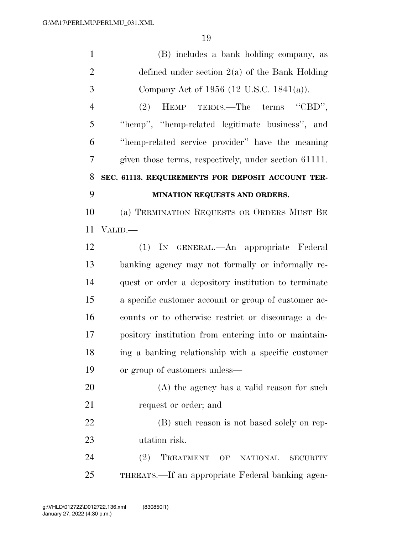| $\mathbf{1}$   | (B) includes a bank holding company, as                   |
|----------------|-----------------------------------------------------------|
| $\overline{2}$ | defined under section $2(a)$ of the Bank Holding          |
| 3              | Company Act of 1956 (12 U.S.C. 1841(a)).                  |
| $\overline{4}$ | HEMP TERMS.—The terms "CBD",<br>(2)                       |
| 5              | "hemp", "hemp-related legitimate business", and           |
| 6              | "hemp-related service provider" have the meaning          |
| 7              | given those terms, respectively, under section 61111.     |
| 8              | SEC. 61113. REQUIREMENTS FOR DEPOSIT ACCOUNT TER-         |
| 9              | MINATION REQUESTS AND ORDERS.                             |
| 10             | (a) TERMINATION REQUESTS OR ORDERS MUST BE                |
| 11             | VALID.—                                                   |
| 12             | (1) IN GENERAL.—An appropriate Federal                    |
| 13             | banking agency may not formally or informally re-         |
| 14             | quest or order a depository institution to terminate      |
| 15             | a specific customer account or group of customer ac-      |
| 16             | counts or to otherwise restrict or discourage a de-       |
| 17             | pository institution from entering into or maintain-      |
| 18             | ing a banking relationship with a specific customer       |
| 19             | or group of customers unless—                             |
| 20             | (A) the agency has a valid reason for such                |
| 21             | request or order; and                                     |
| 22             | (B) such reason is not based solely on rep-               |
| 23             | utation risk.                                             |
| 24             | (2)<br>TREATMENT OF<br><b>NATIONAL</b><br><b>SECURITY</b> |
| 25             | THREATS.—If an appropriate Federal banking agen-          |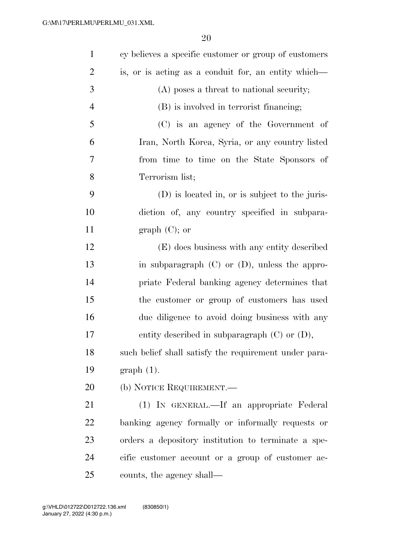| $\mathbf{1}$   | cy believes a specific customer or group of customers |
|----------------|-------------------------------------------------------|
| $\overline{2}$ | is, or is acting as a conduit for, an entity which—   |
| 3              | (A) poses a threat to national security;              |
| $\overline{4}$ | (B) is involved in terrorist financing;               |
| 5              | (C) is an agency of the Government of                 |
| 6              | Iran, North Korea, Syria, or any country listed       |
| 7              | from time to time on the State Sponsors of            |
| 8              | Terrorism list;                                       |
| 9              | (D) is located in, or is subject to the juris-        |
| 10             | diction of, any country specified in subpara-         |
| 11             | $graph (C);$ or                                       |
| 12             | (E) does business with any entity described           |
| 13             | in subparagraph $(C)$ or $(D)$ , unless the appro-    |
| 14             | priate Federal banking agency determines that         |
| 15             | the customer or group of customers has used           |
| 16             | due diligence to avoid doing business with any        |
| 17             | entity described in subparagraph $(C)$ or $(D)$ ,     |
| 18             | such belief shall satisfy the requirement under para- |
| 19             | $graph(1)$ .                                          |
| 20             | (b) NOTICE REQUIREMENT.—                              |
| 21             | (1) IN GENERAL.—If an appropriate Federal             |
| 22             | banking agency formally or informally requests or     |
| 23             | orders a depository institution to terminate a spe-   |
| 24             | cific customer account or a group of customer ac-     |
| 25             | counts, the agency shall—                             |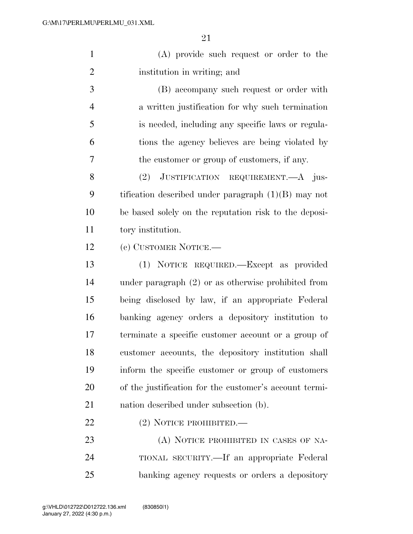(A) provide such request or order to the institution in writing; and

 (B) accompany such request or order with a written justification for why such termination is needed, including any specific laws or regula- tions the agency believes are being violated by the customer or group of customers, if any.

8 (2) JUSTIFICATION REQUIREMENT.—A jus- tification described under paragraph (1)(B) may not be based solely on the reputation risk to the deposi-tory institution.

(c) CUSTOMER NOTICE.—

 (1) NOTICE REQUIRED.—Except as provided under paragraph (2) or as otherwise prohibited from being disclosed by law, if an appropriate Federal banking agency orders a depository institution to terminate a specific customer account or a group of customer accounts, the depository institution shall inform the specific customer or group of customers of the justification for the customer's account termi-nation described under subsection (b).

### (2) NOTICE PROHIBITED.—

23 (A) NOTICE PROHIBITED IN CASES OF NA- TIONAL SECURITY.—If an appropriate Federal banking agency requests or orders a depository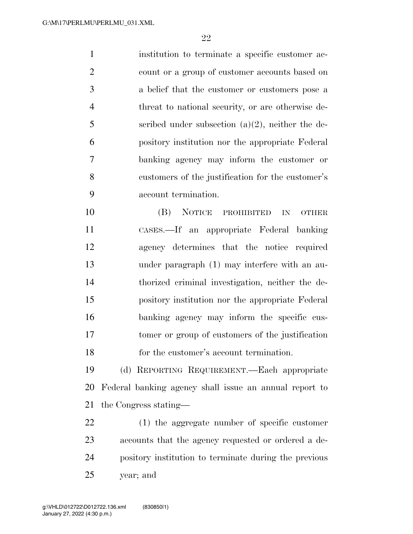institution to terminate a specific customer ac- count or a group of customer accounts based on a belief that the customer or customers pose a threat to national security, or are otherwise de- scribed under subsection (a)(2), neither the de- pository institution nor the appropriate Federal banking agency may inform the customer or customers of the justification for the customer's account termination.

 (B) NOTICE PROHIBITED IN OTHER CASES.—If an appropriate Federal banking agency determines that the notice required under paragraph (1) may interfere with an au- thorized criminal investigation, neither the de- pository institution nor the appropriate Federal banking agency may inform the specific cus- tomer or group of customers of the justification for the customer's account termination.

 (d) REPORTING REQUIREMENT.—Each appropriate Federal banking agency shall issue an annual report to the Congress stating—

 (1) the aggregate number of specific customer accounts that the agency requested or ordered a de- pository institution to terminate during the previous year; and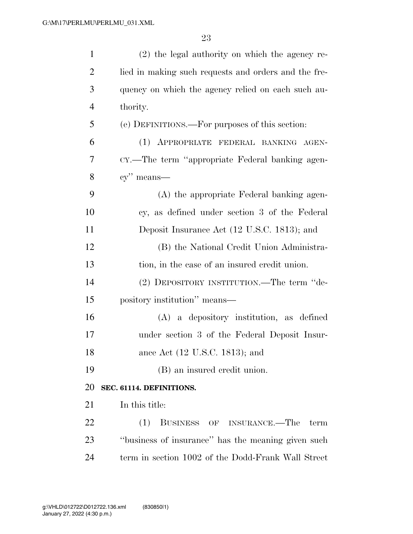| $\mathbf{1}$   | (2) the legal authority on which the agency re-      |
|----------------|------------------------------------------------------|
| $\overline{2}$ | lied in making such requests and orders and the fre- |
| 3              | quency on which the agency relied on each such au-   |
| $\overline{4}$ | thority.                                             |
| 5              | (e) DEFINITIONS.—For purposes of this section:       |
| 6              | (1) APPROPRIATE FEDERAL BANKING AGEN-                |
| 7              | CY.—The term "appropriate Federal banking agen-      |
| 8              | $cy$ " means—                                        |
| 9              | (A) the appropriate Federal banking agen-            |
| 10             | cy, as defined under section 3 of the Federal        |
| 11             | Deposit Insurance Act (12 U.S.C. 1813); and          |
| 12             | (B) the National Credit Union Administra-            |
| 13             | tion, in the case of an insured credit union.        |
| 14             | (2) DEPOSITORY INSTITUTION.—The term "de-            |
| 15             | pository institution" means—                         |
| 16             | $(A)$ a depository institution, as defined           |
| 17             | under section 3 of the Federal Deposit Insur-        |
| 18             | ance Act (12 U.S.C. 1813); and                       |
| 19             | (B) an insured credit union.                         |
| 20             | SEC. 61114. DEFINITIONS.                             |
| 21             | In this title:                                       |
| 22             | BUSINESS OF INSURANCE.—The<br>(1)<br>term            |
| 23             | "business of insurance" has the meaning given such   |
| 24             | term in section 1002 of the Dodd-Frank Wall Street   |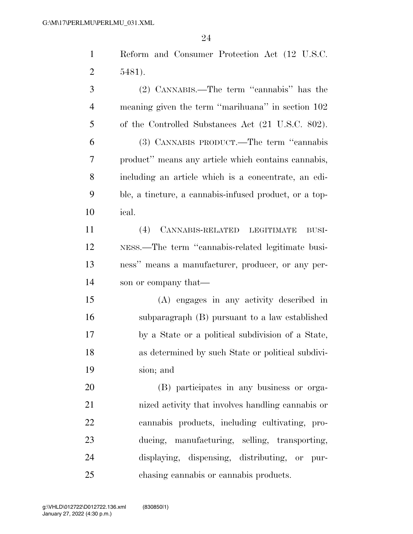Reform and Consumer Protection Act (12 U.S.C. 5481).

 (2) CANNABIS.—The term ''cannabis'' has the meaning given the term ''marihuana'' in section 102 of the Controlled Substances Act (21 U.S.C. 802). (3) CANNABIS PRODUCT.—The term ''cannabis product'' means any article which contains cannabis,

 including an article which is a concentrate, an edi- ble, a tincture, a cannabis-infused product, or a top-ical.

 (4) CANNABIS-RELATED LEGITIMATE BUSI- NESS.—The term ''cannabis-related legitimate busi- ness'' means a manufacturer, producer, or any per-son or company that—

 (A) engages in any activity described in subparagraph (B) pursuant to a law established by a State or a political subdivision of a State, as determined by such State or political subdivi-sion; and

 (B) participates in any business or orga- nized activity that involves handling cannabis or cannabis products, including cultivating, pro- ducing, manufacturing, selling, transporting, displaying, dispensing, distributing, or pur-chasing cannabis or cannabis products.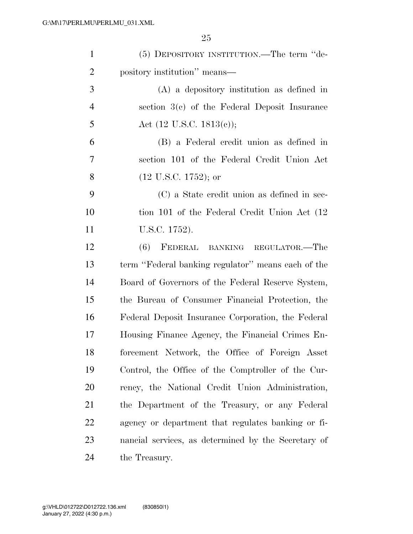| $\mathbf{1}$   | (5) DEPOSITORY INSTITUTION.—The term "de-           |
|----------------|-----------------------------------------------------|
| $\overline{2}$ | pository institution" means—                        |
| 3              | $(A)$ a depository institution as defined in        |
| $\overline{4}$ | section $3(c)$ of the Federal Deposit Insurance     |
| 5              | Act (12 U.S.C. 1813(c));                            |
| 6              | (B) a Federal credit union as defined in            |
| 7              | section 101 of the Federal Credit Union Act         |
| 8              | $(12 \text{ U.S.C. } 1752)$ ; or                    |
| 9              | (C) a State credit union as defined in sec-         |
| 10             | tion 101 of the Federal Credit Union Act (12)       |
| 11             | U.S.C. 1752).                                       |
| 12             | (6)<br>FEDERAL BANKING REGULATOR.—The               |
| 13             | term "Federal banking regulator" means each of the  |
| 14             | Board of Governors of the Federal Reserve System,   |
| 15             | the Bureau of Consumer Financial Protection, the    |
| 16             | Federal Deposit Insurance Corporation, the Federal  |
| 17             | Housing Finance Agency, the Financial Crimes En-    |
| 18             | forcement Network, the Office of Foreign Asset      |
| 19             | Control, the Office of the Comptroller of the Cur-  |
| 20             | rency, the National Credit Union Administration,    |
| 21             | the Department of the Treasury, or any Federal      |
| 22             | agency or department that regulates banking or fi-  |
| 23             | nancial services, as determined by the Secretary of |
| 24             | the Treasury.                                       |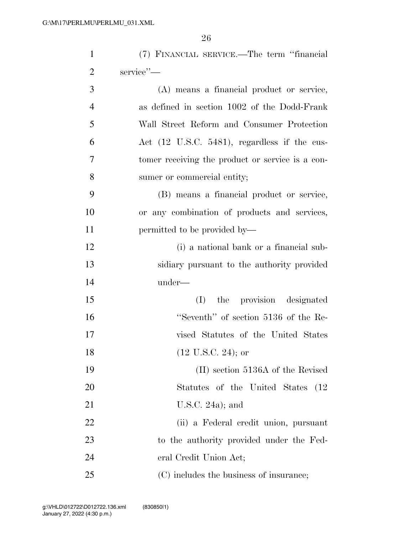| $\mathbf{1}$   | (7) FINANCIAL SERVICE.—The term "financial       |
|----------------|--------------------------------------------------|
| $\overline{2}$ | service"-                                        |
| 3              | (A) means a financial product or service,        |
| $\overline{4}$ | as defined in section 1002 of the Dodd-Frank     |
| 5              | Wall Street Reform and Consumer Protection       |
| 6              | Act (12 U.S.C. 5481), regardless if the cus-     |
| 7              | tomer receiving the product or service is a con- |
| 8              | sumer or commercial entity;                      |
| 9              | (B) means a financial product or service,        |
| 10             | or any combination of products and services,     |
| 11             | permitted to be provided by—                     |
| 12             | (i) a national bank or a financial sub-          |
| 13             | sidiary pursuant to the authority provided       |
| 14             | under—                                           |
| 15             | the provision designated<br>(I)                  |
| 16             | "Seventh" of section 5136 of the Re-             |
| 17             | vised Statutes of the United States              |
| 18             | $(12 \text{ U.S.C. } 24);$ or                    |
| 19             | (II) section 5136A of the Revised                |
| 20             | Statutes of the United States<br>(12)            |
| 21             | U.S.C. $24a$ ; and                               |
| 22             | (ii) a Federal credit union, pursuant            |
| 23             | to the authority provided under the Fed-         |
| 24             | eral Credit Union Act;                           |
| 25             | (C) includes the business of insurance;          |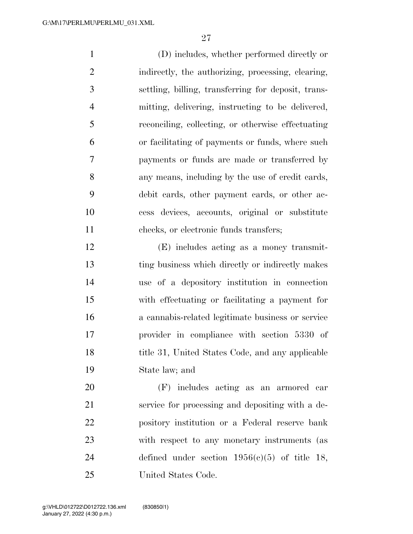(D) includes, whether performed directly or indirectly, the authorizing, processing, clearing, settling, billing, transferring for deposit, trans- mitting, delivering, instructing to be delivered, reconciling, collecting, or otherwise effectuating or facilitating of payments or funds, where such payments or funds are made or transferred by any means, including by the use of credit cards, debit cards, other payment cards, or other ac- cess devices, accounts, original or substitute checks, or electronic funds transfers;

 (E) includes acting as a money transmit- ting business which directly or indirectly makes use of a depository institution in connection with effectuating or facilitating a payment for a cannabis-related legitimate business or service provider in compliance with section 5330 of 18 title 31, United States Code, and any applicable State law; and

 (F) includes acting as an armored car service for processing and depositing with a de- pository institution or a Federal reserve bank with respect to any monetary instruments (as defined under section 1956(c)(5) of title 18, United States Code.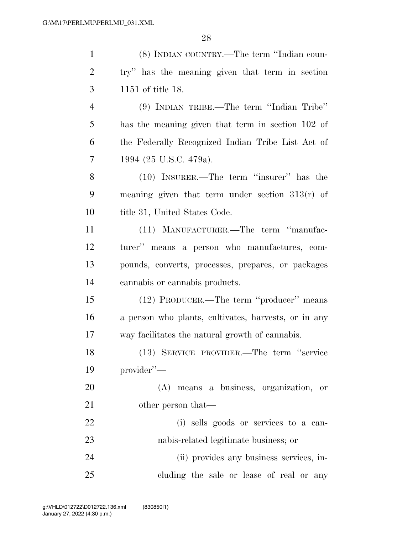| $\mathbf{1}$   | (8) INDIAN COUNTRY.—The term "Indian coun-           |
|----------------|------------------------------------------------------|
| $\overline{2}$ | try" has the meaning given that term in section      |
| 3              | 1151 of title 18.                                    |
| $\overline{4}$ | $(9)$ INDIAN TRIBE.—The term "Indian Tribe"          |
| 5              | has the meaning given that term in section 102 of    |
| 6              | the Federally Recognized Indian Tribe List Act of    |
| $\tau$         | 1994 (25 U.S.C. 479a).                               |
| 8              | $(10)$ INSURER.—The term "insurer" has the           |
| 9              | meaning given that term under section $313(r)$ of    |
| 10             | title 31, United States Code.                        |
| 11             | (11) MANUFACTURER.—The term "manufac-                |
| 12             | turer" means a person who manufactures, com-         |
| 13             | pounds, converts, processes, prepares, or packages   |
| 14             | cannabis or cannabis products.                       |
| 15             | (12) PRODUCER.—The term "producer" means             |
| 16             | a person who plants, cultivates, harvests, or in any |
| 17             | way facilitates the natural growth of cannabis.      |
| 18             | (13) SERVICE PROVIDER.—The term "service             |
| 19             | provider"-                                           |
| 20             | (A) means a business, organization, or               |
| 21             | other person that—                                   |
| 22             | (i) sells goods or services to a can-                |
| 23             | nabis-related legitimate business; or                |
| 24             | (ii) provides any business services, in-             |
| 25             | cluding the sale or lease of real or any             |